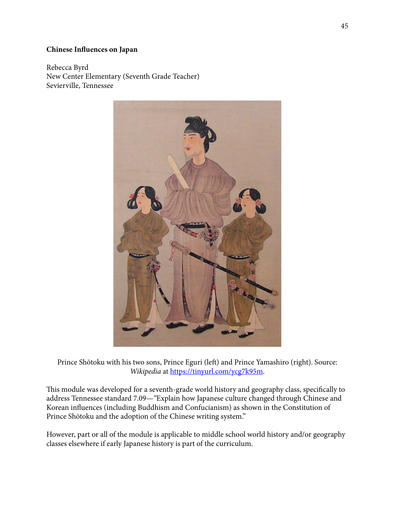# **Chinese Influences on Japan**

Rebecca Byrd New Center Elementary (Seventh Grade Teacher) Sevierville, Tennessee



Prince Shōtoku with his two sons, Prince Eguri (left) and Prince Yamashiro (right). Source: *Wikipedia* at [https://tinyurl.com/ycg7k95m.](https://tinyurl.com/ycg7k95m)

This module was developed for a seventh-grade world history and geography class, specifically to address Tennessee standard 7.09—*"*Explain how Japanese culture changed through Chinese and Korean influences (including Buddhism and Confucianism) as shown in the Constitution of Prince Shōtoku and the adoption of the Chinese writing system."

However, part or all of the module is applicable to middle school world history and/or geography classes elsewhere if early Japanese history is part of the curriculum.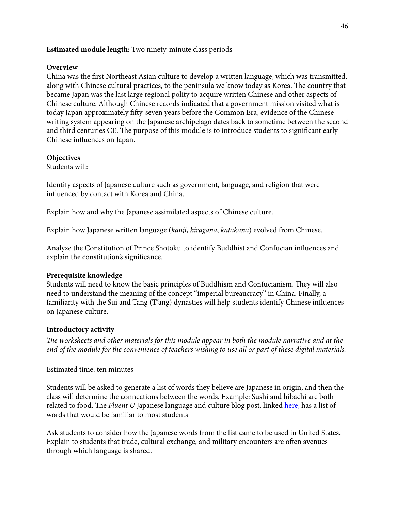# **Estimated module length:** Two ninety-minute class periods

### **Overview**

China was the first Northeast Asian culture to develop a written language, which was transmitted, along with Chinese cultural practices, to the peninsula we know today as Korea. The country that became Japan was the last large regional polity to acquire written Chinese and other aspects of Chinese culture. Although Chinese records indicated that a government mission visited what is today Japan approximately fify-seven years before the Common Era, evidence of the Chinese writing system appearing on the Japanese archipelago dates back to sometime between the second and third centuries CE. The purpose of this module is to introduce students to significant early Chinese influences on Japan.

### **Objectives**

Students will:

Identify aspects of Japanese culture such as government, language, and religion that were influenced by contact with Korea and China.

Explain how and why the Japanese assimilated aspects of Chinese culture.

Explain how Japanese written language (*kanji*, *hiragana*, *katakana*) evolved from Chinese.

Analyze the Constitution of Prince Shōtoku to identify Buddhist and Confucian influences and explain the constitution's significance.

### **Prerequisite knowledge**

Students will need to know the basic principles of Buddhism and Confucianism. They will also need to understand the meaning of the concept "imperial bureaucracy" in China. Finally, a familiarity with the Sui and Tang (T'ang) dynasties will help students identify Chinese influences on Japanese culture.

### **Introductory activity**

T*e worksheets and other materials for this module appear in both the module narrative and at the end of the module for the convenience of teachers wishing to use all or part of these digital materials.*

#### Estimated time: ten minutes

Students will be asked to generate a list of words they believe are Japanese in origin, and then the class will determine the connections between the words. Example: Sushi and hibachi are both related to food. The *Fluent U* Japanese language and culture blog post, linked [here,](https://www.fluentu.com/blog/japanese/japanese-loanwords-in-english/) has a list of words that would be familiar to most students

Ask students to consider how the Japanese words from the list came to be used in United States. Explain to students that trade, cultural exchange, and military encounters are ofen avenues through which language is shared.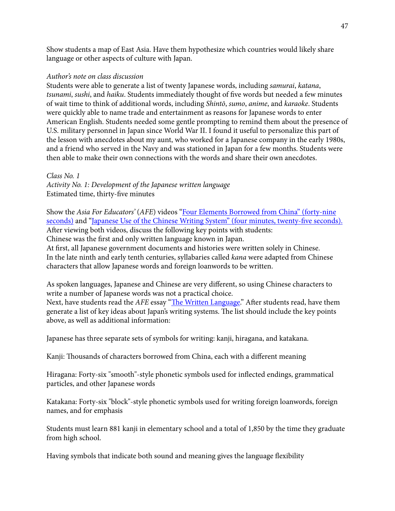Show students a map of East Asia. Have them hypothesize which countries would likely share language or other aspects of culture with Japan.

### *Author's note on class discussion*

Students were able to generate a list of twenty Japanese words, including *samurai*, *katana*, *tsunami*, *sushi*, and *haiku*. Students immediately thought of five words but needed a few minutes of wait time to think of additional words, including *Shint*ō, *sumo*, *anime*, and *karaoke*. Students were quickly able to name trade and entertainment as reasons for Japanese words to enter American English. Students needed some gentle prompting to remind them about the presence of U.S. military personnel in Japan since World War II. I found it useful to personalize this part of the lesson with anecdotes about my aunt, who worked for a Japanese company in the early 1980s, and a friend who served in the Navy and was stationed in Japan for a few months. Students were then able to make their own connections with the words and share their own anecdotes.

# *Class No. 1*

*Activity No. 1: Development of the Japanese written language*  Estimated time, thirty-five minutes

Show the *Asia For Educators'* (*AFE*) videos ["Four Elements Borrowed from China"](http://afe.easia.columbia.edu/at/cl_japan/cj03.html) (forty-nine seconds) and ["Japanese Use of the Chinese Writing System](http://afe.easia.columbia.edu/at/cl_japan/cj09.html)" (four minutes, twenty-five seconds). Afer viewing both videos, discuss the following key points with students: Chinese was the first and only written language known in Japan.

At first, all Japanese government documents and histories were written solely in Chinese. In the late ninth and early tenth centuries, syllabaries called *kana* were adapted from Chinese characters that allow Japanese words and foreign loanwords to be written.

As spoken languages, Japanese and Chinese are very different, so using Chinese characters to write a number of Japanese words was not a practical choice. Next, have students read the *AFE* essay "Th[e Written Language](https://www.utc.edu/asia-program/docs/modules2/byrd/thewrittenlanguage.docx)." After students read, have them generate a list of key ideas about Japan's writing systems. The list should include the key points above, as well as additional information:

Japanese has three separate sets of symbols for writing: kanji, hiragana, and katakana.

Kanji: Thousands of characters borrowed from China, each with a different meaning

Hiragana: Forty-six "smooth"-style phonetic symbols used for inflected endings, grammatical particles, and other Japanese words

Katakana: Forty-six "block"-style phonetic symbols used for writing foreign loanwords, foreign names, and for emphasis

Students must learn 881 kanji in elementary school and a total of 1,850 by the time they graduate from high school.

Having symbols that indicate both sound and meaning gives the language flexibility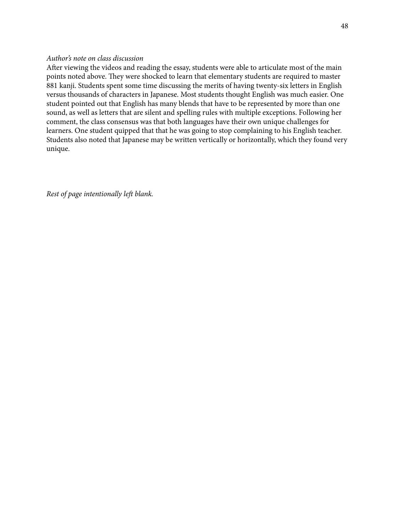#### *Author's note on class discussion*

Afer viewing the videos and reading the essay, students were able to articulate most of the main points noted above. They were shocked to learn that elementary students are required to master 881 kanji. Students spent some time discussing the merits of having twenty-six letters in English versus thousands of characters in Japanese. Most students thought English was much easier. One student pointed out that English has many blends that have to be represented by more than one sound, as well as letters that are silent and spelling rules with multiple exceptions. Following her comment, the class consensus was that both languages have their own unique challenges for learners. One student quipped that that he was going to stop complaining to his English teacher. Students also noted that Japanese may be written vertically or horizontally, which they found very unique.

*Rest of page intentionally le*f *blank.*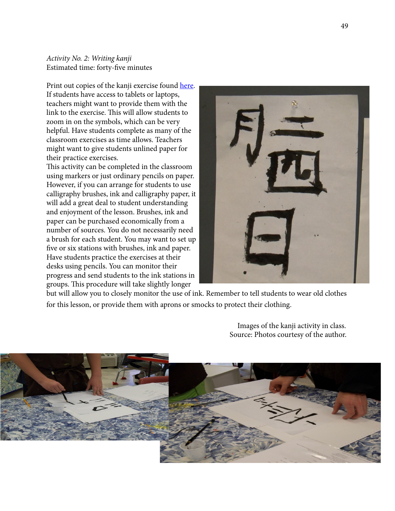*Activity No. 2: Writing kanji*  Estimated time: forty-five minutes

Print out copies of the kanji exercise found [here.](http://afe.easia.columbia.edu/special/japan_600ce_kanji.htm) If students have access to tablets or laptops, teachers might want to provide them with the link to the exercise. This will allow students to zoom in on the symbols, which can be very helpful. Have students complete as many of the classroom exercises as time allows. Teachers might want to give students unlined paper for their practice exercises.

This activity can be completed in the classroom using markers or just ordinary pencils on paper. However, if you can arrange for students to use calligraphy brushes, ink and calligraphy paper, it will add a great deal to student understanding and enjoyment of the lesson. Brushes, ink and paper can be purchased economically from a number of sources. You do not necessarily need a brush for each student. You may want to set up five or six stations with brushes, ink and paper. Have students practice the exercises at their desks using pencils. You can monitor their progress and send students to the ink stations in groups. This procedure will take slightly longer



but will allow you to closely monitor the use of ink. Remember to tell students to wear old clothes for this lesson, or provide them with aprons or smocks to protect their clothing.

> Images of the kanji activity in class. Source: Photos courtesy of the author.

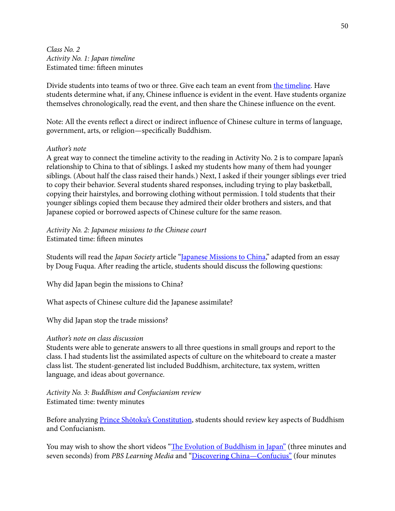*Class No. 2 Activity No. 1: Japan timeline*  Estimated time: fifeen minutes

Divide students into teams of two or three. Give each team an event from [the timeline.](https://www.utc.edu/asia-program/docs/modules2/byrd/timelineofeventsinjapan500to1000ad.docx) Have students determine what, if any, Chinese influence is evident in the event. Have students organize themselves chronologically, read the event, and then share the Chinese influence on the event.

Note: All the events reflect a direct or indirect influence of Chinese culture in terms of language, government, arts, or religion—specifically Buddhism.

#### *Author's note*

A great way to connect the timeline activity to the reading in Activity No. 2 is to compare Japan's relationship to China to that of siblings. I asked my students how many of them had younger siblings. (About half the class raised their hands.) Next, I asked if their younger siblings ever tried to copy their behavior. Several students shared responses, including trying to play basketball, copying their hairstyles, and borrowing clothing without permission. I told students that their younger siblings copied them because they admired their older brothers and sisters, and that Japanese copied or borrowed aspects of Chinese culture for the same reason.

*Activity No. 2: Japanese missions to the Chinese court*  Estimated time: fifeen minutes

Students will read the *Japan Society* article "[Japanese Missions to China,](https://www.utc.edu/asia-program/docs/modules2/byrd/thejapanesemissionstotangchina.docx)" adapted from an essay by Doug Fuqua. Afer reading the article, students should discuss the following questions:

Why did Japan begin the missions to China?

What aspects of Chinese culture did the Japanese assimilate?

Why did Japan stop the trade missions?

### *Author's note on class discussion*

Students were able to generate answers to all three questions in small groups and report to the class. I had students list the assimilated aspects of culture on the whiteboard to create a master class list. The student-generated list included Buddhism, architecture, tax system, written language, and ideas about governance.

*Activity No. 3: Buddhism and Confucianism review*  Estimated time: twenty minutes

Before analyzing Prince Shō[toku's Constitution](https://www.utc.edu/asia-program/docs/modules2/byrd/theconstitutionofprinceshotuku.docx), students should review key aspects of Buddhism and Confucianism.

You may wish to show the short videos "Th[e Evolution of Buddhism in Japan"](https://www.pbslearningmedia.org/resource/sj14-soc-buddhism/the-evolution-of-buddhism-in-japan/#.WrObsojwbIU) (three minutes and seven seconds) from *PBS Learning Media* and ["Discovering China—Confucius"](https://www.youtube.com/watch?v=AYQ1hcpUedU) (four minutes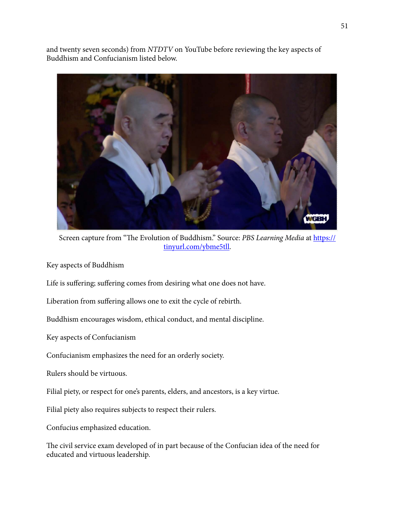and twenty seven seconds) from *NTDTV* on YouTube before reviewing the key aspects of Buddhism and Confucianism listed below.



Screen capture from "The Evoluti[on of Buddhism." Source:](https://tinyurl.com/ybme5tll) *PBS Learning Media* at https:// tinyurl.com/ybme5tll.

Key aspects of Buddhism

Life is suffering; suffering comes from desiring what one does not have.

Liberation from suffering allows one to exit the cycle of rebirth.

Buddhism encourages wisdom, ethical conduct, and mental discipline.

Key aspects of Confucianism

Confucianism emphasizes the need for an orderly society.

Rulers should be virtuous.

Filial piety, or respect for one's parents, elders, and ancestors, is a key virtue.

Filial piety also requires subjects to respect their rulers.

Confucius emphasized education.

The civil service exam developed of in part because of the Confucian idea of the need for educated and virtuous leadership.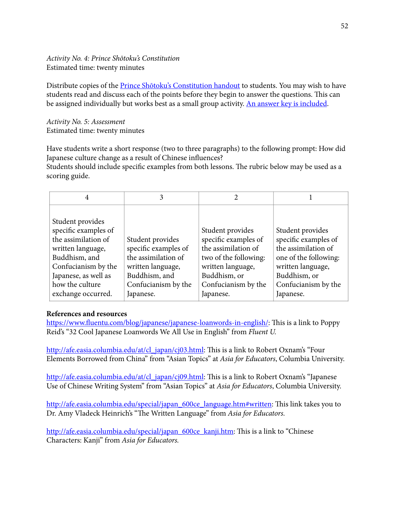# *Activity No. 4: Prince Sh*ō*toku's Constitution*  Estimated time: twenty minutes

Distribute copies of the **Prince Shō[toku's Constitution handout](https://www.utc.edu/asia-program/docs/modules2/byrd/theconstitutionofprinceshotuku.docx)** to students. You may wish to have students read and discuss each of the points before they begin to answer the questions. This can be assigned individually but works best as a small group activity. [An answer key is included](https://www.utc.edu/asia-program/docs/modules2/byrd/shotokuanswerkey.docx).

*Activity No. 5: Assessment*  Estimated time: twenty minutes

Have students write a short response (two to three paragraphs) to the following prompt: How did Japanese culture change as a result of Chinese influences?

Students should include specific examples from both lessons. The rubric below may be used as a scoring guide.

| Student provides<br>specific examples of<br>the assimilation of<br>written language,<br>Buddhism, and<br>Confucianism by the<br>Japanese, as well as<br>how the culture<br>exchange occurred. | Student provides<br>specific examples of<br>the assimilation of<br>written language,<br>Buddhism, and<br>Confucianism by the<br>Japanese. | Student provides<br>specific examples of<br>the assimilation of<br>two of the following:<br>written language,<br>Buddhism, or<br>Confucianism by the<br>Japanese. | Student provides<br>specific examples of<br>the assimilation of<br>one of the following:<br>written language,<br>Buddhism, or<br>Confucianism by the<br>Japanese. |
|-----------------------------------------------------------------------------------------------------------------------------------------------------------------------------------------------|-------------------------------------------------------------------------------------------------------------------------------------------|-------------------------------------------------------------------------------------------------------------------------------------------------------------------|-------------------------------------------------------------------------------------------------------------------------------------------------------------------|

# **References and resources**

https://www.fl[uentu.com/blog/japanese/japanese-loanwords-in-english/:](https://www.fluentu.com/blog/japanese/japanese-loanwords-in-english/) This is a link to Poppy Reid's "32 Cool Japanese Loanwords We All Use in English" from *Fluent U.*

[http://afe.easia.columbia.edu/at/cl\\_japan/cj03.html:](http://afe.easia.columbia.edu/at/cl_japan/cj03.html) This is a link to Robert Oxnam's "Four Elements Borrowed from China" from "Asian Topics" at *Asia for Educators*, Columbia University.

[http://afe.easia.columbia.edu/at/cl\\_japan/cj09.html:](http://afe.easia.columbia.edu/at/cl_japan/cj09.html) This is a link to Robert Oxnam's "Japanese Use of Chinese Writing System" from "Asian Topics" at *Asia for Educators*, Columbia University.

[http://afe.easia.columbia.edu/special/japan\\_600ce\\_language.htm#written](http://afe.easia.columbia.edu/special/japan_600ce_language.htm#written): This link takes you to Dr. Amy Vladeck Heinrich's "The Written Language" from Asia for Educators.

[http://afe.easia.columbia.edu/special/japan\\_600ce\\_kanji.htm](http://afe.easia.columbia.edu/special/japan_600ce_kanji.htm): This is a link to "Chinese" Characters: Kanji" from *Asia for Educators.*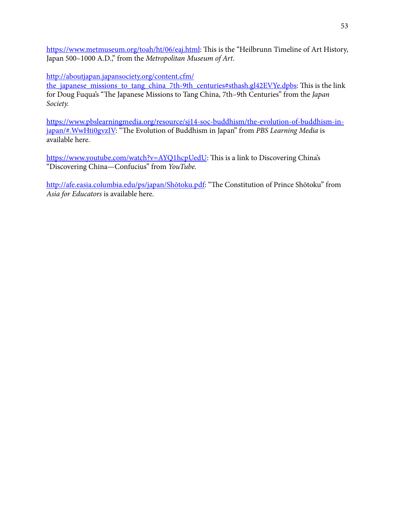[https://www.metmuseum.org/toah/ht/06/eaj.html:](https://www.metmuseum.org/toah/ht/06/eaj.html) This is the "Heilbrunn Timeline of Art History, Japan 500–1000 A.D.," from the *Metropolitan Museum of Art*.

http://aboutjapan.japansociety.org/content.cfm/

the japanese missions to tang china 7th-9th centuries#sthash.gl42EVYe.dpbs: This is the link for Doug Fuqua's "The Japanese Missions to Tang China, 7th–9th Centuries" from the *Japan Society.*

[https://www.pbslearningmedia.org/resource/sj14-soc-buddhism/the-evolution-of-buddhism-in](https://www.pbslearningmedia.org/resource/sj14-soc-buddhism/the-evolution-of-buddhism-in-japan/#.WwHti0gvzIV)japan/#.WwHti0gvzIV: "The Evolution of Buddhism in Japan" from *PBS Learning Media* is available here.

[https://www.youtube.com/watch?v=AYQ1hcpUedU:](https://www.youtube.com/watch?v=AYQ1hcpUedU) This is a link to Discovering China's "Discovering China—Confucius" from *YouTube.*

[http://afe.easia.columbia.edu/ps/japan/Sh](http://afe.easia.columbia.edu/ps/japan/shotoku.pdf)ōtoku.pdf: "The Constitution of Prince Shōtoku" from *Asia for Educators* is available here.